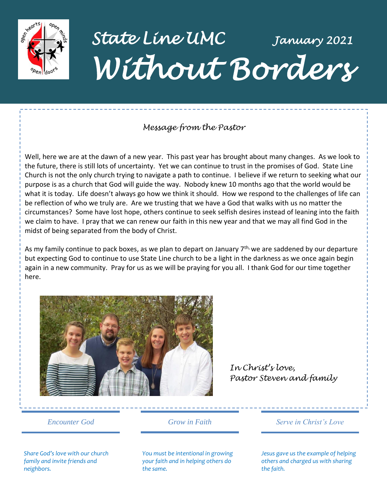

*State Line UMC January 2021 Without Borders* 

## *Message from the Pastor*

Well, here we are at the dawn of a new year. This past year has brought about many changes. As we look to the future, there is still lots of uncertainty. Yet we can continue to trust in the promises of God. State Line Church is not the only church trying to navigate a path to continue. I believe if we return to seeking what our purpose is as a church that God will guide the way. Nobody knew 10 months ago that the world would be what it is today. Life doesn't always go how we think it should. How we respond to the challenges of life can be reflection of who we truly are. Are we trusting that we have a God that walks with us no matter the circumstances? Some have lost hope, others continue to seek selfish desires instead of leaning into the faith we claim to have. I pray that we can renew our faith in this new year and that we may all find God in the midst of being separated from the body of Christ.

As my family continue to pack boxes, as we plan to depart on January  $7<sup>th</sup>$ , we are saddened by our departure but expecting God to continue to use State Line church to be a light in the darkness as we once again begin again in a new community. Pray for us as we will be praying for you all. I thank God for our time together here.



*In Christ's love, Pastor Steven and family*

*Share God's love with our church family and invite friends and neighbors.*

*Encounter God Grow in Faith*

*Serve in Christ's Love*

*You must be intentional in growing your faith and in helping others do the same.*

*Jesus gave us the example of helping others and charged us with sharing the faith.*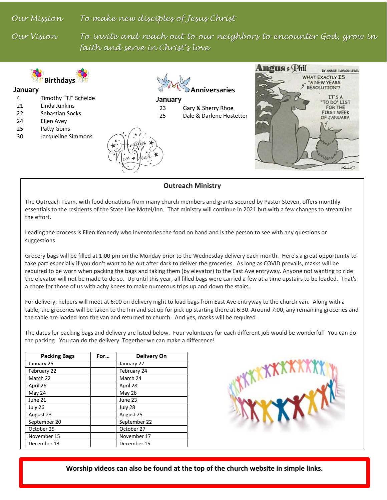*Our Mission To make new disciples of Jesus Christ*

Our Vision

To invite and reach out to our neighbors to encounter God, grow in *faith and serve in Christ's love*



**Outreach Ministry**

The Outreach Team, with food donations from many church members and grants secured by Pastor Steven, offers monthly essentials to the residents of the State Line Motel/Inn. That ministry will continue in 2021 but with a few changes to streamline the effort.

Leading the process is Ellen Kennedy who inventories the food on hand and is the person to see with any questions or suggestions.

Grocery bags will be filled at 1:00 pm on the Monday prior to the Wednesday delivery each month. Here's a great opportunity to take part especially if you don't want to be out after dark to deliver the groceries. As long as COVID prevails, masks will be required to be worn when packing the bags and taking them (by elevator) to the East Ave entryway. Anyone not wanting to ride the elevator will not be made to do so. Up until this year, all filled bags were carried a few at a time upstairs to be loaded. That's a chore for those of us with achy knees to make numerous trips up and down the stairs.

For delivery, helpers will meet at 6:00 on delivery night to load bags from East Ave entryway to the church van. Along with a table, the groceries will be taken to the Inn and set up for pick up starting there at 6:30. Around 7:00, any remaining groceries and the table are loaded into the van and returned to church. And yes, masks will be required.

The dates for packing bags and delivery are listed below. Four volunteers for each different job would be wonderful! You can do the packing. You can do the delivery. Together we can make a difference!

| <b>Packing Bags</b> | For | Delivery On  |
|---------------------|-----|--------------|
| January 25          |     | January 27   |
| February 22         |     | February 24  |
| March 22            |     | March 24     |
| April 26            |     | April 28     |
| May 24              |     | May 26       |
| June 21             |     | June 23      |
| July 26             |     | July 28      |
| August 23           |     | August 25    |
| September 20        |     | September 22 |
| October 25          |     | October 27   |
| November 15         |     | November 17  |
| December 13         |     | December 15  |



**Worship videos can also be found at the top of the church website in simple links.**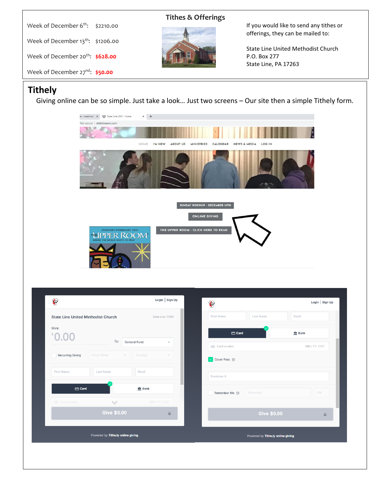| Week of December 6 <sup>th</sup> :           | \$2210.00 |
|----------------------------------------------|-----------|
| Week of December $13^{th}$ : \$1206.00       |           |
| Week of December 20 <sup>th</sup> : \$628.00 |           |
| Week of December $27^{nd}$ : \$50.00         |           |

## **Tithes & Offerings**



If you would like to send any tithes or offerings, they can be mailed to:

State Line United Methodist Church P.O. Box 277 State Line, PA 17263

# **Tithely**

Giving online can be so simple. Just take a look… Just two screens – Our site then a simple Tithely form.



|                                           |                                   |                                        |                         | $\oplus$ |                            |                                   |               |
|-------------------------------------------|-----------------------------------|----------------------------------------|-------------------------|----------|----------------------------|-----------------------------------|---------------|
| <b>State Line United Methodist Church</b> |                                   |                                        | State Line, 17263       |          | <b>First Name</b>          | Last Name                         | Email         |
| Give:                                     |                                   |                                        |                         |          | $\Box$ Card                |                                   | <b>血 Bank</b> |
| 0.00                                      | To:                               | General Fund                           | $\overline{\mathbf{v}}$ |          | Card number                |                                   | MM/YY CVC     |
| <b>Recurring Giving</b>                   | Every Week                        | Tuesday<br>$\mathcal{L}_{\mathcal{F}}$ |                         |          | Cover Fees <sup>1</sup>    |                                   |               |
| First Name                                | Last Name                         | Email                                  |                         |          | Envelope #                 |                                   |               |
| $\Box$ Card                               |                                   | $m$ Bank                               |                         |          | Remember Me <sup>(1)</sup> | Password                          | PIN           |
| <b>Card number</b>                        | $\mathcal{N}_{\text{eff}}$        |                                        | MM/YY CVC               |          |                            |                                   |               |
|                                           | <b>Give \$0.00</b>                |                                        | $\triangleq$            |          |                            | <b>Give \$0.00</b>                | $\triangleq$  |
|                                           | Powered by Tithe.ly online giving |                                        |                         |          |                            | Powered by Tithe.ly online giving |               |
|                                           |                                   |                                        |                         |          |                            |                                   |               |